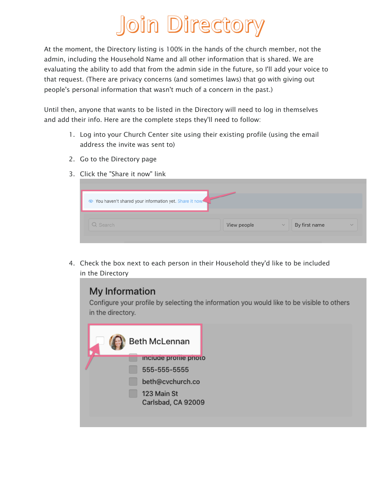## Join Directory

At the moment, the Directory listing is 100% in the hands of the church member, not the admin, including the Household Name and all other information that is shared. We are evaluating the ability to add that from the admin side in the future, so I'll add your voice to that request. (There are privacy concerns (and sometimes laws) that go with giving out people's personal information that wasn't much of a concern in the past.)

Until then, anyone that wants to be listed in the Directory will need to log in themselves and add their info. Here are the complete steps they'll need to follow:

- 1. Log into your Church Center site using their existing profile (using the email address the invite was sent to)
- 2. Go to the Directory page
- 3. Click the "Share it now" link

| You haven't shared your information yet. Share it now: |             |                               |              |
|--------------------------------------------------------|-------------|-------------------------------|--------------|
| Q Search                                               | View people | By first name<br>$\checkmark$ | $\checkmark$ |

4. Check the box next to each person in their Household they'd like to be included in the Directory

## My Information

Configure your profile by selecting the information you would like to be visible to others in the directory.

| <b>Beth McLennan</b>              |
|-----------------------------------|
| <b>Include profile photo</b>      |
| 555-555-5555                      |
| beth@cvchurch.co                  |
| 123 Main St<br>Carlsbad, CA 92009 |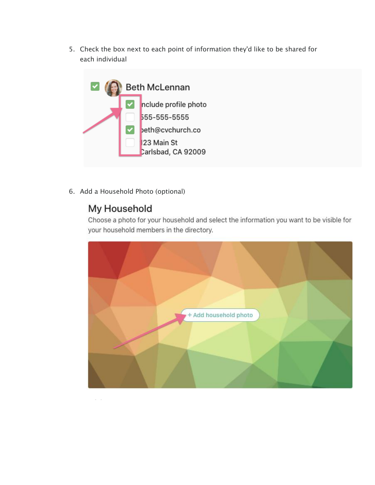5. Check the box next to each point of information they'd like to be shared for each individual



6. Add a Household Photo (optional)

## My Household

Choose a photo for your household and select the information you want to be visible for your household members in the directory.